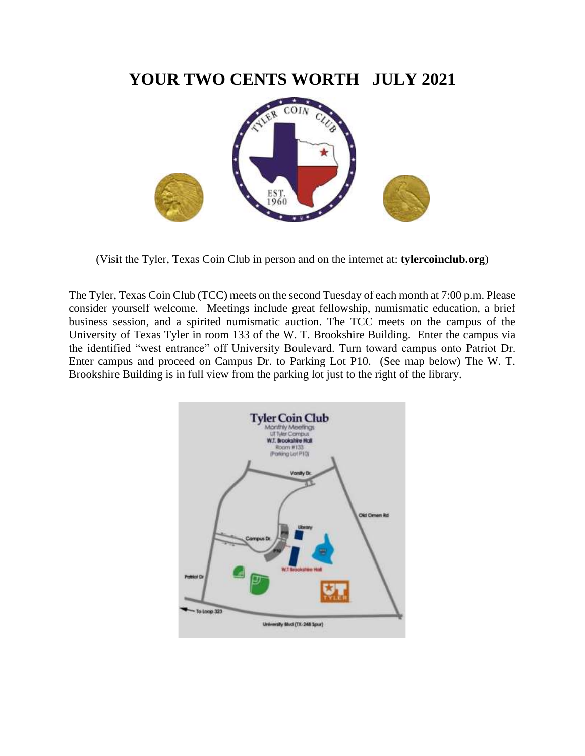## **YOUR TWO CENTS WORTH JULY 2021**



(Visit the Tyler, Texas Coin Club in person and on the internet at: **tylercoinclub.org**)

The Tyler, Texas Coin Club (TCC) meets on the second Tuesday of each month at 7:00 p.m. Please consider yourself welcome. Meetings include great fellowship, numismatic education, a brief business session, and a spirited numismatic auction. The TCC meets on the campus of the University of Texas Tyler in room 133 of the W. T. Brookshire Building. Enter the campus via the identified "west entrance" off University Boulevard. Turn toward campus onto Patriot Dr. Enter campus and proceed on Campus Dr. to Parking Lot P10. (See map below) The W. T. Brookshire Building is in full view from the parking lot just to the right of the library.

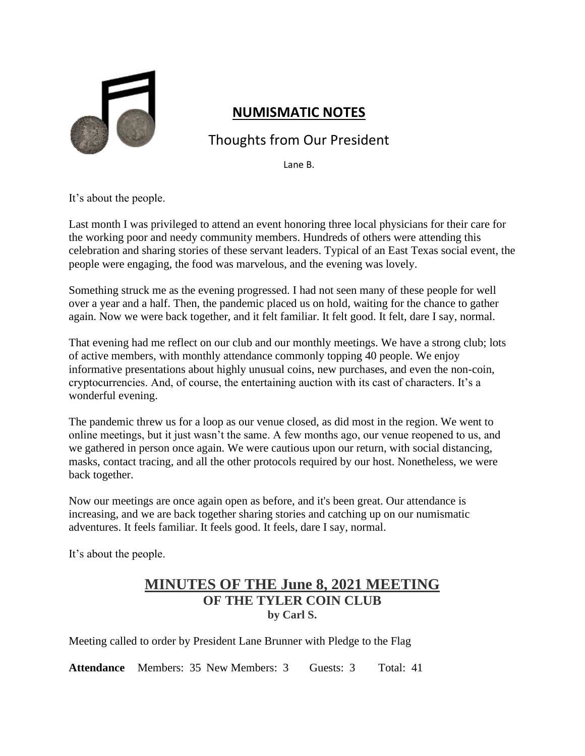

### **NUMISMATIC NOTES**

## Thoughts from Our President

Lane B.

It's about the people.

Last month I was privileged to attend an event honoring three local physicians for their care for the working poor and needy community members. Hundreds of others were attending this celebration and sharing stories of these servant leaders. Typical of an East Texas social event, the people were engaging, the food was marvelous, and the evening was lovely.

Something struck me as the evening progressed. I had not seen many of these people for well over a year and a half. Then, the pandemic placed us on hold, waiting for the chance to gather again. Now we were back together, and it felt familiar. It felt good. It felt, dare I say, normal.

That evening had me reflect on our club and our monthly meetings. We have a strong club; lots of active members, with monthly attendance commonly topping 40 people. We enjoy informative presentations about highly unusual coins, new purchases, and even the non-coin, cryptocurrencies. And, of course, the entertaining auction with its cast of characters. It's a wonderful evening.

The pandemic threw us for a loop as our venue closed, as did most in the region. We went to online meetings, but it just wasn't the same. A few months ago, our venue reopened to us, and we gathered in person once again. We were cautious upon our return, with social distancing, masks, contact tracing, and all the other protocols required by our host. Nonetheless, we were back together.

Now our meetings are once again open as before, and it's been great. Our attendance is increasing, and we are back together sharing stories and catching up on our numismatic adventures. It feels familiar. It feels good. It feels, dare I say, normal.

It's about the people.

### **MINUTES OF THE June 8, 2021 MEETING OF THE TYLER COIN CLUB by Carl S.**

Meeting called to order by President Lane Brunner with Pledge to the Flag

Attendance Members: 35 New Members: 3 Guests: 3 Total: 41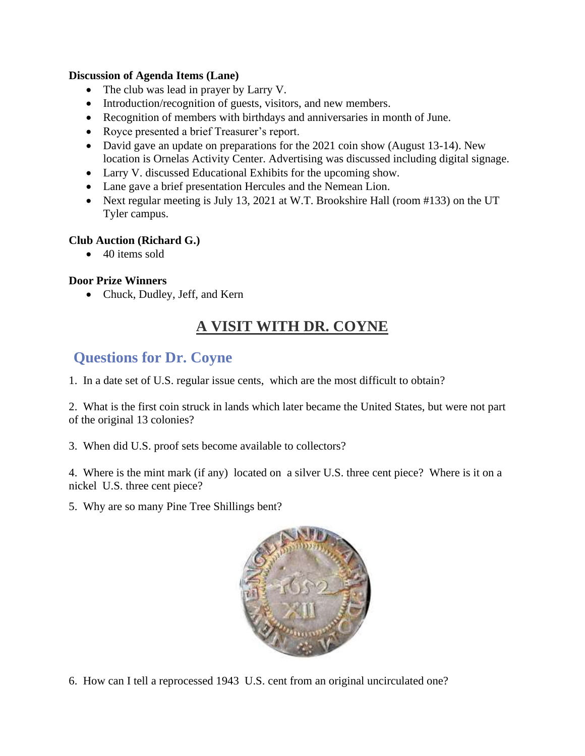#### **Discussion of Agenda Items (Lane)**

- The club was lead in prayer by Larry V.
- Introduction/recognition of guests, visitors, and new members.
- Recognition of members with birthdays and anniversaries in month of June.
- Royce presented a brief Treasurer's report.
- David gave an update on preparations for the 2021 coin show (August 13-14). New location is Ornelas Activity Center. Advertising was discussed including digital signage.
- Larry V. discussed Educational Exhibits for the upcoming show.
- Lane gave a brief presentation Hercules and the Nemean Lion.
- Next regular meeting is July 13, 2021 at W.T. Brookshire Hall (room #133) on the UT Tyler campus.

#### **Club Auction (Richard G.)**

• 40 items sold

#### **Door Prize Winners**

• Chuck, Dudley, Jeff, and Kern

# **A VISIT WITH DR. COYNE**

## **Questions for Dr. Coyne**

1. In a date set of U.S. regular issue cents, which are the most difficult to obtain?

2. What is the first coin struck in lands which later became the United States, but were not part of the original 13 colonies?

3. When did U.S. proof sets become available to collectors?

4. Where is the mint mark (if any) located on a silver U.S. three cent piece? Where is it on a nickel U.S. three cent piece?

5. Why are so many Pine Tree Shillings bent?



6. How can I tell a reprocessed 1943 U.S. cent from an original uncirculated one?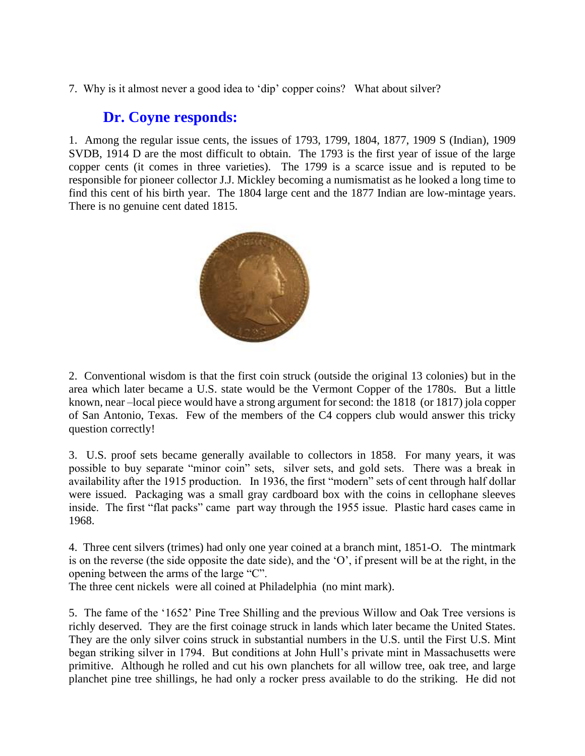7. Why is it almost never a good idea to 'dip' copper coins? What about silver?

### **Dr. Coyne responds:**

1. Among the regular issue cents, the issues of 1793, 1799, 1804, 1877, 1909 S (Indian), 1909 SVDB, 1914 D are the most difficult to obtain. The 1793 is the first year of issue of the large copper cents (it comes in three varieties). The 1799 is a scarce issue and is reputed to be responsible for pioneer collector J.J. Mickley becoming a numismatist as he looked a long time to find this cent of his birth year. The 1804 large cent and the 1877 Indian are low-mintage years. There is no genuine cent dated 1815.



2. Conventional wisdom is that the first coin struck (outside the original 13 colonies) but in the area which later became a U.S. state would be the Vermont Copper of the 1780s. But a little known, near –local piece would have a strong argument for second: the 1818 (or 1817) jola copper of San Antonio, Texas. Few of the members of the C4 coppers club would answer this tricky question correctly!

3. U.S. proof sets became generally available to collectors in 1858. For many years, it was possible to buy separate "minor coin" sets, silver sets, and gold sets. There was a break in availability after the 1915 production. In 1936, the first "modern" sets of cent through half dollar were issued. Packaging was a small gray cardboard box with the coins in cellophane sleeves inside. The first "flat packs" came part way through the 1955 issue. Plastic hard cases came in 1968.

4. Three cent silvers (trimes) had only one year coined at a branch mint, 1851-O. The mintmark is on the reverse (the side opposite the date side), and the 'O', if present will be at the right, in the opening between the arms of the large "C".

The three cent nickels were all coined at Philadelphia (no mint mark).

5. The fame of the '1652' Pine Tree Shilling and the previous Willow and Oak Tree versions is richly deserved. They are the first coinage struck in lands which later became the United States. They are the only silver coins struck in substantial numbers in the U.S. until the First U.S. Mint began striking silver in 1794. But conditions at John Hull's private mint in Massachusetts were primitive. Although he rolled and cut his own planchets for all willow tree, oak tree, and large planchet pine tree shillings, he had only a rocker press available to do the striking. He did not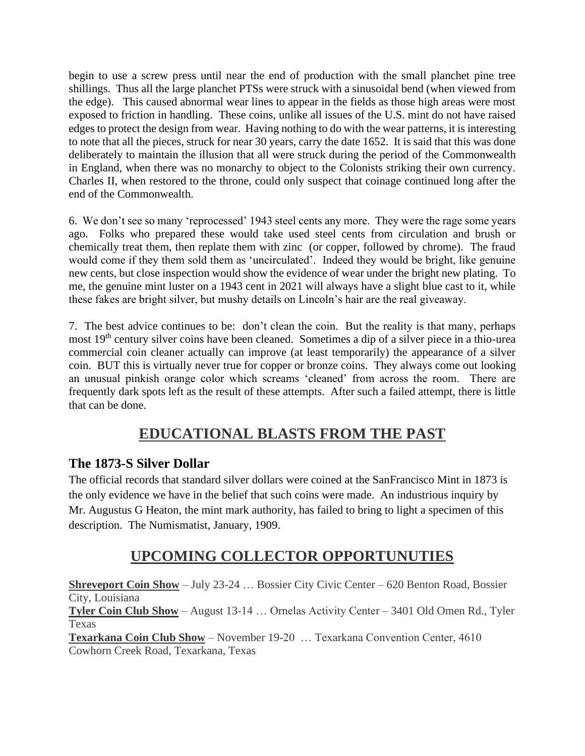begin to use a screw press until near the end of production with the small planchet pine tree shillings. Thus all the large planchet PTSs were struck with a sinusoidal bend (when viewed from the edge). This caused abnormal wear lines to appear in the fields as those high areas were most exposed to friction in handling. These coins, unlike all issues of the U.S. mint do not have raised edges to protect the design from wear. Having nothing to do with the wear patterns, it is interesting to note that all the pieces, struck for near 30 years, carry the date 1652. It is said that this was done deliberately to maintain the illusion that all were struck during the period of the Commonwealth in England, when there was no monarchy to object to the Colonists striking their own currency. Charles II, when restored to the throne, could only suspect that coinage continued long after the end of the Commonwealth.

6. We don't see so many 'reprocessed' 1943 steel cents any more. They were the rage some years ago. Folks who prepared these would take used steel cents from circulation and brush or chemically treat them, then replate them with zinc (or copper, followed by chrome). The fraud would come if they them sold them as 'uncirculated'. Indeed they would be bright, like genuine new cents, but close inspection would show the evidence of wear under the bright new plating. To me, the genuine mint luster on a 1943 cent in 2021 will always have a slight blue cast to it, while these fakes are bright silver, but mushy details on Lincoln's hair are the real giveaway.

7. The best advice continues to be: don't clean the coin. But the reality is that many, perhaps most 19<sup>th</sup> century silver coins have been cleaned. Sometimes a dip of a silver piece in a thio-urea commercial coin cleaner actually can improve (at least temporarily) the appearance of a silver coin. BUT this is virtually never true for copper or bronze coins. They always come out looking an unusual pinkish orange color which screams 'cleaned' from across the room. There are frequently dark spots left as the result of these attempts. After such a failed attempt, there is little that can be done.

## **EDUCATIONAL BLASTS FROM THE PAST**

#### **The 1873-S Silver Dollar**

The official records that standard silver dollars were coined at the SanFrancisco Mint in 1873 is the only evidence we have in the belief that such coins were made. An industrious inquiry by Mr. Augustus G Heaton, the mint mark authority, has failed to bring to light a specimen of this description. The Numismatist, January, 1909.

# **UPCOMING COLLECTOR OPPORTUNUTIES**

**Shreveport Coin Show** – July 23-24 … Bossier City Civic Center – 620 Benton Road, Bossier City, Louisiana **Tyler Coin Club Show** – August 13-14 … Ornelas Activity Center – 3401 Old Omen Rd., Tyler Texas **Texarkana Coin Club Show** – November 19-20 … Texarkana Convention Center, 4610 Cowhorn Creek Road, Texarkana, Texas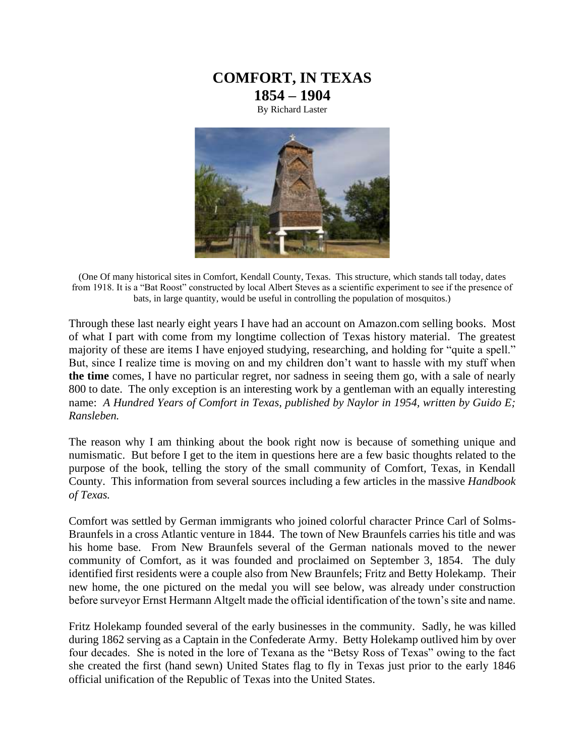

By Richard Laster



(One Of many historical sites in Comfort, Kendall County, Texas. This structure, which stands tall today, dates from 1918. It is a "Bat Roost" constructed by local Albert Steves as a scientific experiment to see if the presence of bats, in large quantity, would be useful in controlling the population of mosquitos.)

Through these last nearly eight years I have had an account on Amazon.com selling books. Most of what I part with come from my longtime collection of Texas history material. The greatest majority of these are items I have enjoyed studying, researching, and holding for "quite a spell." But, since I realize time is moving on and my children don't want to hassle with my stuff when **the time** comes, I have no particular regret, nor sadness in seeing them go, with a sale of nearly 800 to date. The only exception is an interesting work by a gentleman with an equally interesting name: *A Hundred Years of Comfort in Texas, published by Naylor in 1954, written by Guido E; Ransleben.* 

The reason why I am thinking about the book right now is because of something unique and numismatic. But before I get to the item in questions here are a few basic thoughts related to the purpose of the book, telling the story of the small community of Comfort, Texas, in Kendall County. This information from several sources including a few articles in the massive *Handbook of Texas.* 

Comfort was settled by German immigrants who joined colorful character Prince Carl of Solms-Braunfels in a cross Atlantic venture in 1844. The town of New Braunfels carries his title and was his home base. From New Braunfels several of the German nationals moved to the newer community of Comfort, as it was founded and proclaimed on September 3, 1854. The duly identified first residents were a couple also from New Braunfels; Fritz and Betty Holekamp. Their new home, the one pictured on the medal you will see below, was already under construction before surveyor Ernst Hermann Altgelt made the official identification of the town's site and name.

Fritz Holekamp founded several of the early businesses in the community. Sadly, he was killed during 1862 serving as a Captain in the Confederate Army. Betty Holekamp outlived him by over four decades. She is noted in the lore of Texana as the "Betsy Ross of Texas" owing to the fact she created the first (hand sewn) United States flag to fly in Texas just prior to the early 1846 official unification of the Republic of Texas into the United States.